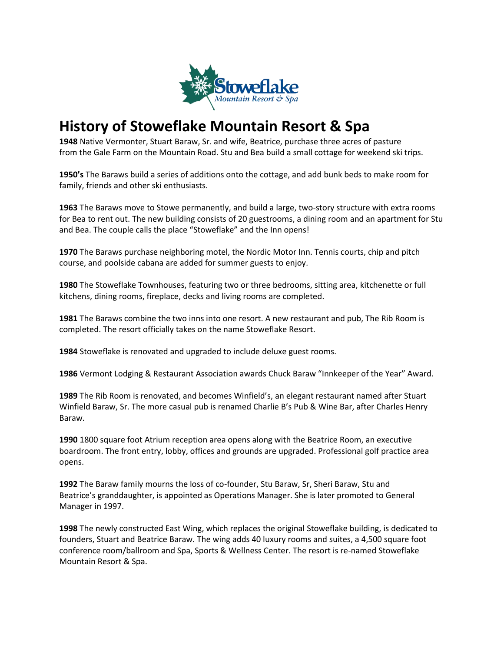

## **History of Stoweflake Mountain Resort & Spa**

**1948** Native Vermonter, Stuart Baraw, Sr. and wife, Beatrice, purchase three acres of pasture from the Gale Farm on the Mountain Road. Stu and Bea build a small cottage for weekend ski trips.

**1950's** The Baraws build a series of additions onto the cottage, and add bunk beds to make room for family, friends and other ski enthusiasts.

**1963** The Baraws move to Stowe permanently, and build a large, two-story structure with extra rooms for Bea to rent out. The new building consists of 20 guestrooms, a dining room and an apartment for Stu and Bea. The couple calls the place "Stoweflake" and the Inn opens!

**1970** The Baraws purchase neighboring motel, the Nordic Motor Inn. Tennis courts, chip and pitch course, and poolside cabana are added for summer guests to enjoy.

**1980** The Stoweflake Townhouses, featuring two or three bedrooms, sitting area, kitchenette or full kitchens, dining rooms, fireplace, decks and living rooms are completed.

**1981** The Baraws combine the two inns into one resort. A new restaurant and pub, The Rib Room is completed. The resort officially takes on the name Stoweflake Resort.

**1984** Stoweflake is renovated and upgraded to include deluxe guest rooms.

**1986** Vermont Lodging & Restaurant Association awards Chuck Baraw "Innkeeper of the Year" Award.

**1989** The Rib Room is renovated, and becomes Winfield's, an elegant restaurant named after Stuart Winfield Baraw, Sr. The more casual pub is renamed Charlie B's Pub & Wine Bar, after Charles Henry Baraw.

**1990** 1800 square foot Atrium reception area opens along with the Beatrice Room, an executive boardroom. The front entry, lobby, offices and grounds are upgraded. Professional golf practice area opens.

**1992** The Baraw family mourns the loss of co-founder, Stu Baraw, Sr, Sheri Baraw, Stu and Beatrice's granddaughter, is appointed as Operations Manager. She is later promoted to General Manager in 1997.

**1998** The newly constructed East Wing, which replaces the original Stoweflake building, is dedicated to founders, Stuart and Beatrice Baraw. The wing adds 40 luxury rooms and suites, a 4,500 square foot conference room/ballroom and Spa, Sports & Wellness Center. The resort is re-named Stoweflake Mountain Resort & Spa.